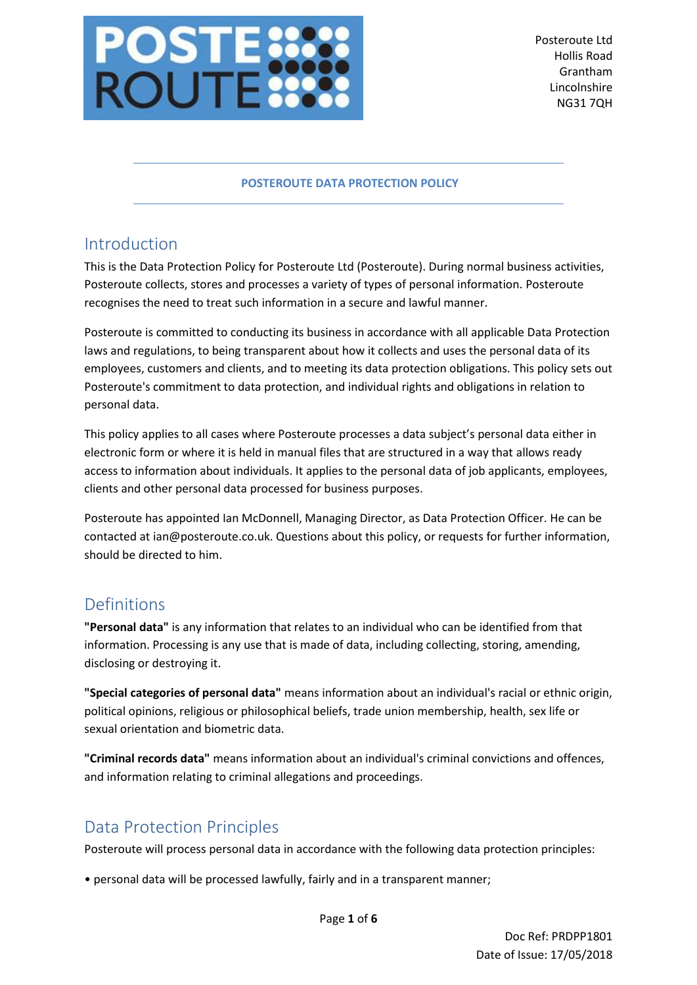

### **POSTEROUTE DATA PROTECTION POLICY**

## Introduction

This is the Data Protection Policy for Posteroute Ltd (Posteroute). During normal business activities, Posteroute collects, stores and processes a variety of types of personal information. Posteroute recognises the need to treat such information in a secure and lawful manner.

Posteroute is committed to conducting its business in accordance with all applicable Data Protection laws and regulations, to being transparent about how it collects and uses the personal data of its employees, customers and clients, and to meeting its data protection obligations. This policy sets out Posteroute's commitment to data protection, and individual rights and obligations in relation to personal data.

This policy applies to all cases where Posteroute processes a data subject's personal data either in electronic form or where it is held in manual files that are structured in a way that allows ready access to information about individuals. It applies to the personal data of job applicants, employees, clients and other personal data processed for business purposes.

Posteroute has appointed Ian McDonnell, Managing Director, as Data Protection Officer. He can be contacted at ian@posteroute.co.uk. Questions about this policy, or requests for further information, should be directed to him.

## Definitions

**"Personal data"** is any information that relates to an individual who can be identified from that information. Processing is any use that is made of data, including collecting, storing, amending, disclosing or destroying it.

**"Special categories of personal data"** means information about an individual's racial or ethnic origin, political opinions, religious or philosophical beliefs, trade union membership, health, sex life or sexual orientation and biometric data.

**"Criminal records data"** means information about an individual's criminal convictions and offences, and information relating to criminal allegations and proceedings.

## Data Protection Principles

Posteroute will process personal data in accordance with the following data protection principles:

• personal data will be processed lawfully, fairly and in a transparent manner;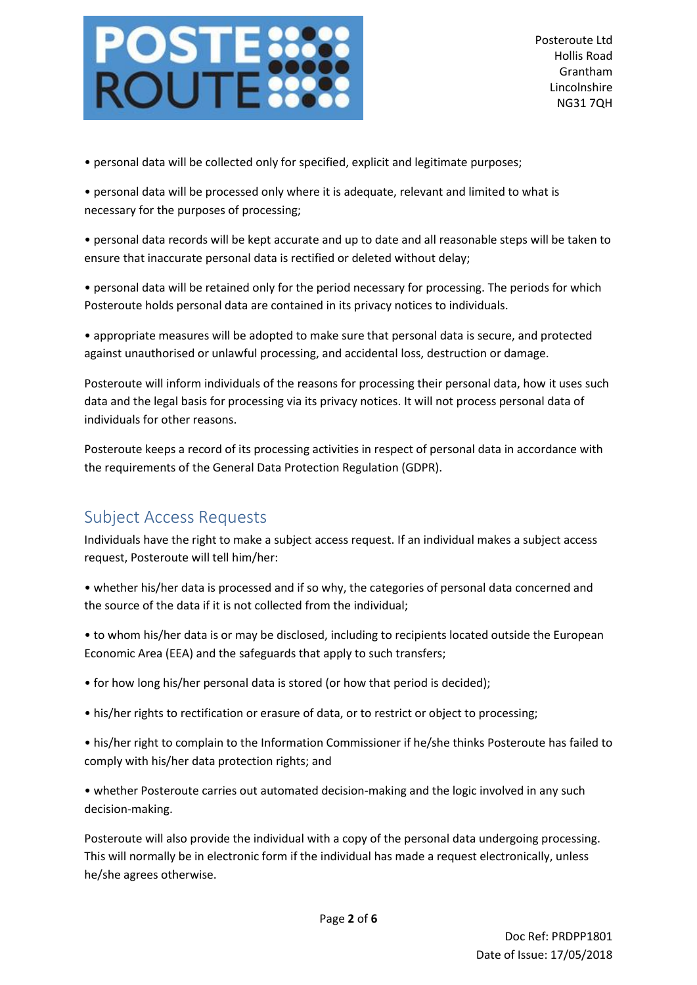

• personal data will be collected only for specified, explicit and legitimate purposes;

• personal data will be processed only where it is adequate, relevant and limited to what is necessary for the purposes of processing;

• personal data records will be kept accurate and up to date and all reasonable steps will be taken to ensure that inaccurate personal data is rectified or deleted without delay;

• personal data will be retained only for the period necessary for processing. The periods for which Posteroute holds personal data are contained in its privacy notices to individuals.

• appropriate measures will be adopted to make sure that personal data is secure, and protected against unauthorised or unlawful processing, and accidental loss, destruction or damage.

Posteroute will inform individuals of the reasons for processing their personal data, how it uses such data and the legal basis for processing via its privacy notices. It will not process personal data of individuals for other reasons.

Posteroute keeps a record of its processing activities in respect of personal data in accordance with the requirements of the General Data Protection Regulation (GDPR).

## Subject Access Requests

Individuals have the right to make a subject access request. If an individual makes a subject access request, Posteroute will tell him/her:

- whether his/her data is processed and if so why, the categories of personal data concerned and the source of the data if it is not collected from the individual;
- to whom his/her data is or may be disclosed, including to recipients located outside the European Economic Area (EEA) and the safeguards that apply to such transfers;
- for how long his/her personal data is stored (or how that period is decided);
- his/her rights to rectification or erasure of data, or to restrict or object to processing;
- his/her right to complain to the Information Commissioner if he/she thinks Posteroute has failed to comply with his/her data protection rights; and

• whether Posteroute carries out automated decision-making and the logic involved in any such decision-making.

Posteroute will also provide the individual with a copy of the personal data undergoing processing. This will normally be in electronic form if the individual has made a request electronically, unless he/she agrees otherwise.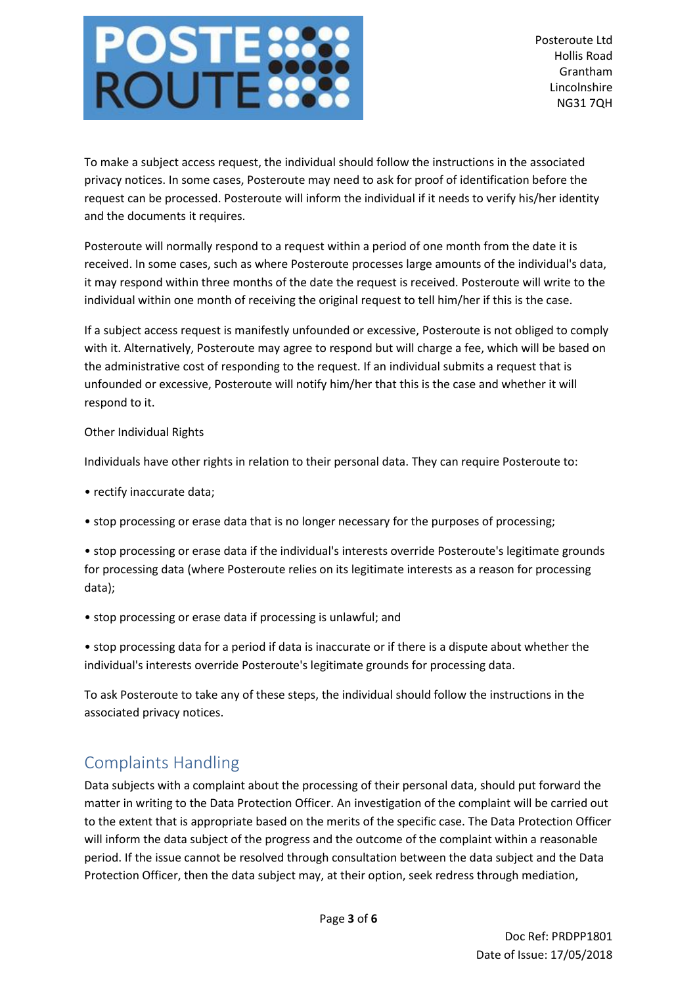# **POSTE**<br>ROUTE

To make a subject access request, the individual should follow the instructions in the associated privacy notices. In some cases, Posteroute may need to ask for proof of identification before the request can be processed. Posteroute will inform the individual if it needs to verify his/her identity and the documents it requires.

Posteroute will normally respond to a request within a period of one month from the date it is received. In some cases, such as where Posteroute processes large amounts of the individual's data, it may respond within three months of the date the request is received. Posteroute will write to the individual within one month of receiving the original request to tell him/her if this is the case.

If a subject access request is manifestly unfounded or excessive, Posteroute is not obliged to comply with it. Alternatively, Posteroute may agree to respond but will charge a fee, which will be based on the administrative cost of responding to the request. If an individual submits a request that is unfounded or excessive, Posteroute will notify him/her that this is the case and whether it will respond to it.

### Other Individual Rights

Individuals have other rights in relation to their personal data. They can require Posteroute to:

- rectify inaccurate data;
- stop processing or erase data that is no longer necessary for the purposes of processing;

• stop processing or erase data if the individual's interests override Posteroute's legitimate grounds for processing data (where Posteroute relies on its legitimate interests as a reason for processing data);

• stop processing or erase data if processing is unlawful; and

• stop processing data for a period if data is inaccurate or if there is a dispute about whether the individual's interests override Posteroute's legitimate grounds for processing data.

To ask Posteroute to take any of these steps, the individual should follow the instructions in the associated privacy notices.

# Complaints Handling

Data subjects with a complaint about the processing of their personal data, should put forward the matter in writing to the Data Protection Officer. An investigation of the complaint will be carried out to the extent that is appropriate based on the merits of the specific case. The Data Protection Officer will inform the data subject of the progress and the outcome of the complaint within a reasonable period. If the issue cannot be resolved through consultation between the data subject and the Data Protection Officer, then the data subject may, at their option, seek redress through mediation,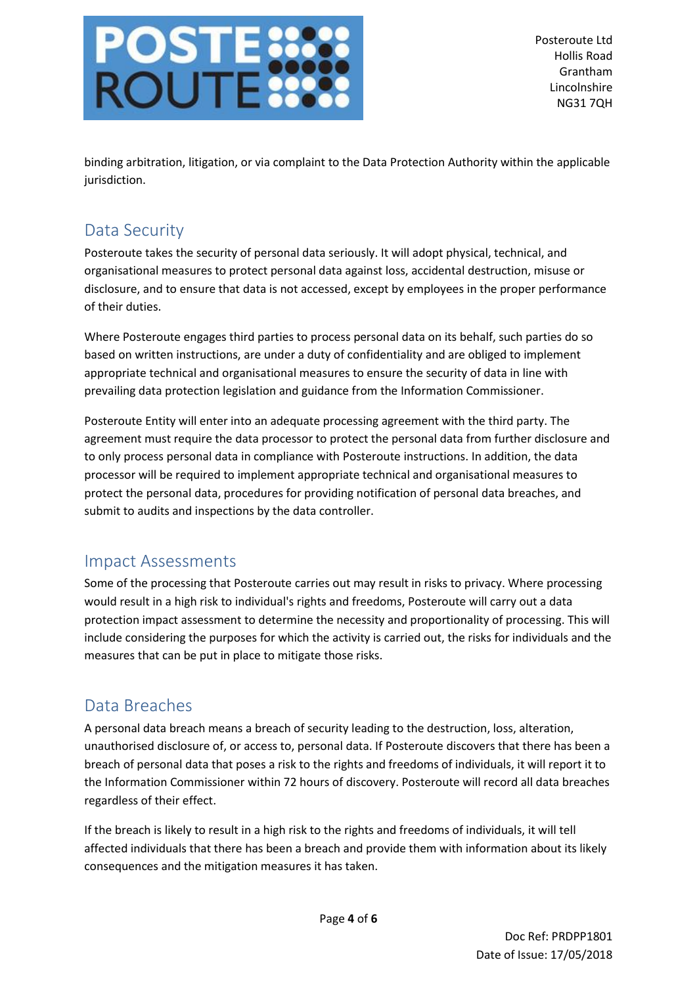# **POSTE**<br>ROUTE

Posteroute Ltd Hollis Road Grantham Lincolnshire NG31 7QH

binding arbitration, litigation, or via complaint to the Data Protection Authority within the applicable jurisdiction.

## Data Security

Posteroute takes the security of personal data seriously. It will adopt physical, technical, and organisational measures to protect personal data against loss, accidental destruction, misuse or disclosure, and to ensure that data is not accessed, except by employees in the proper performance of their duties.

Where Posteroute engages third parties to process personal data on its behalf, such parties do so based on written instructions, are under a duty of confidentiality and are obliged to implement appropriate technical and organisational measures to ensure the security of data in line with prevailing data protection legislation and guidance from the Information Commissioner.

Posteroute Entity will enter into an adequate processing agreement with the third party. The agreement must require the data processor to protect the personal data from further disclosure and to only process personal data in compliance with Posteroute instructions. In addition, the data processor will be required to implement appropriate technical and organisational measures to protect the personal data, procedures for providing notification of personal data breaches, and submit to audits and inspections by the data controller.

## Impact Assessments

Some of the processing that Posteroute carries out may result in risks to privacy. Where processing would result in a high risk to individual's rights and freedoms, Posteroute will carry out a data protection impact assessment to determine the necessity and proportionality of processing. This will include considering the purposes for which the activity is carried out, the risks for individuals and the measures that can be put in place to mitigate those risks.

# Data Breaches

A personal data breach means a breach of security leading to the destruction, loss, alteration, unauthorised disclosure of, or access to, personal data. If Posteroute discovers that there has been a breach of personal data that poses a risk to the rights and freedoms of individuals, it will report it to the Information Commissioner within 72 hours of discovery. Posteroute will record all data breaches regardless of their effect.

If the breach is likely to result in a high risk to the rights and freedoms of individuals, it will tell affected individuals that there has been a breach and provide them with information about its likely consequences and the mitigation measures it has taken.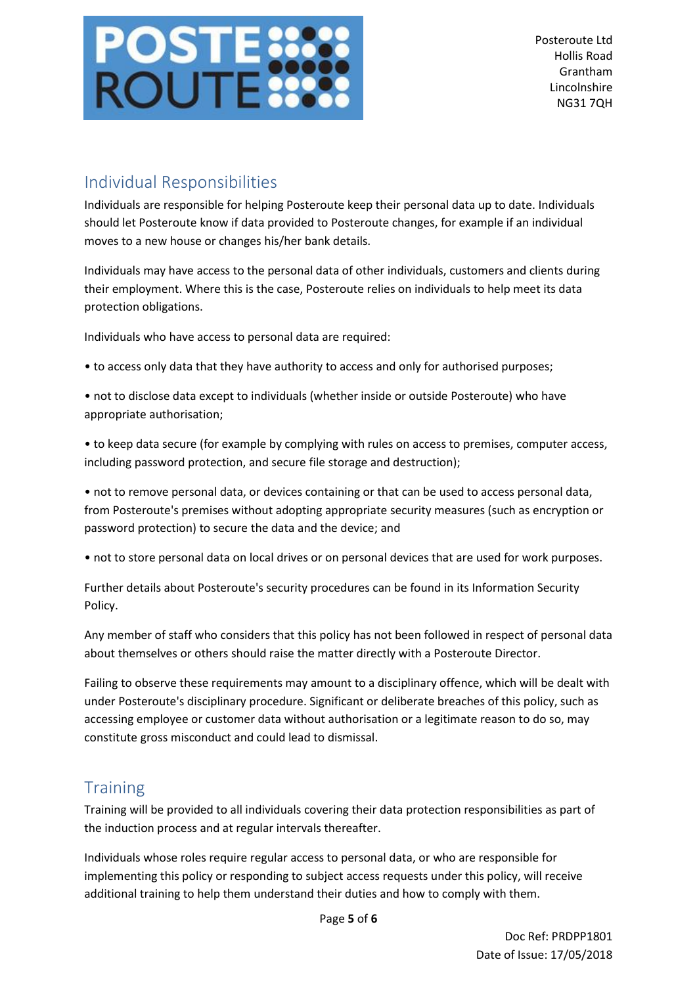

## Individual Responsibilities

Individuals are responsible for helping Posteroute keep their personal data up to date. Individuals should let Posteroute know if data provided to Posteroute changes, for example if an individual moves to a new house or changes his/her bank details.

Individuals may have access to the personal data of other individuals, customers and clients during their employment. Where this is the case, Posteroute relies on individuals to help meet its data protection obligations.

Individuals who have access to personal data are required:

• to access only data that they have authority to access and only for authorised purposes;

• not to disclose data except to individuals (whether inside or outside Posteroute) who have appropriate authorisation;

• to keep data secure (for example by complying with rules on access to premises, computer access, including password protection, and secure file storage and destruction);

• not to remove personal data, or devices containing or that can be used to access personal data, from Posteroute's premises without adopting appropriate security measures (such as encryption or password protection) to secure the data and the device; and

• not to store personal data on local drives or on personal devices that are used for work purposes.

Further details about Posteroute's security procedures can be found in its Information Security Policy.

Any member of staff who considers that this policy has not been followed in respect of personal data about themselves or others should raise the matter directly with a Posteroute Director.

Failing to observe these requirements may amount to a disciplinary offence, which will be dealt with under Posteroute's disciplinary procedure. Significant or deliberate breaches of this policy, such as accessing employee or customer data without authorisation or a legitimate reason to do so, may constitute gross misconduct and could lead to dismissal.

## **Training**

Training will be provided to all individuals covering their data protection responsibilities as part of the induction process and at regular intervals thereafter.

Individuals whose roles require regular access to personal data, or who are responsible for implementing this policy or responding to subject access requests under this policy, will receive additional training to help them understand their duties and how to comply with them.

Page **5** of **6**